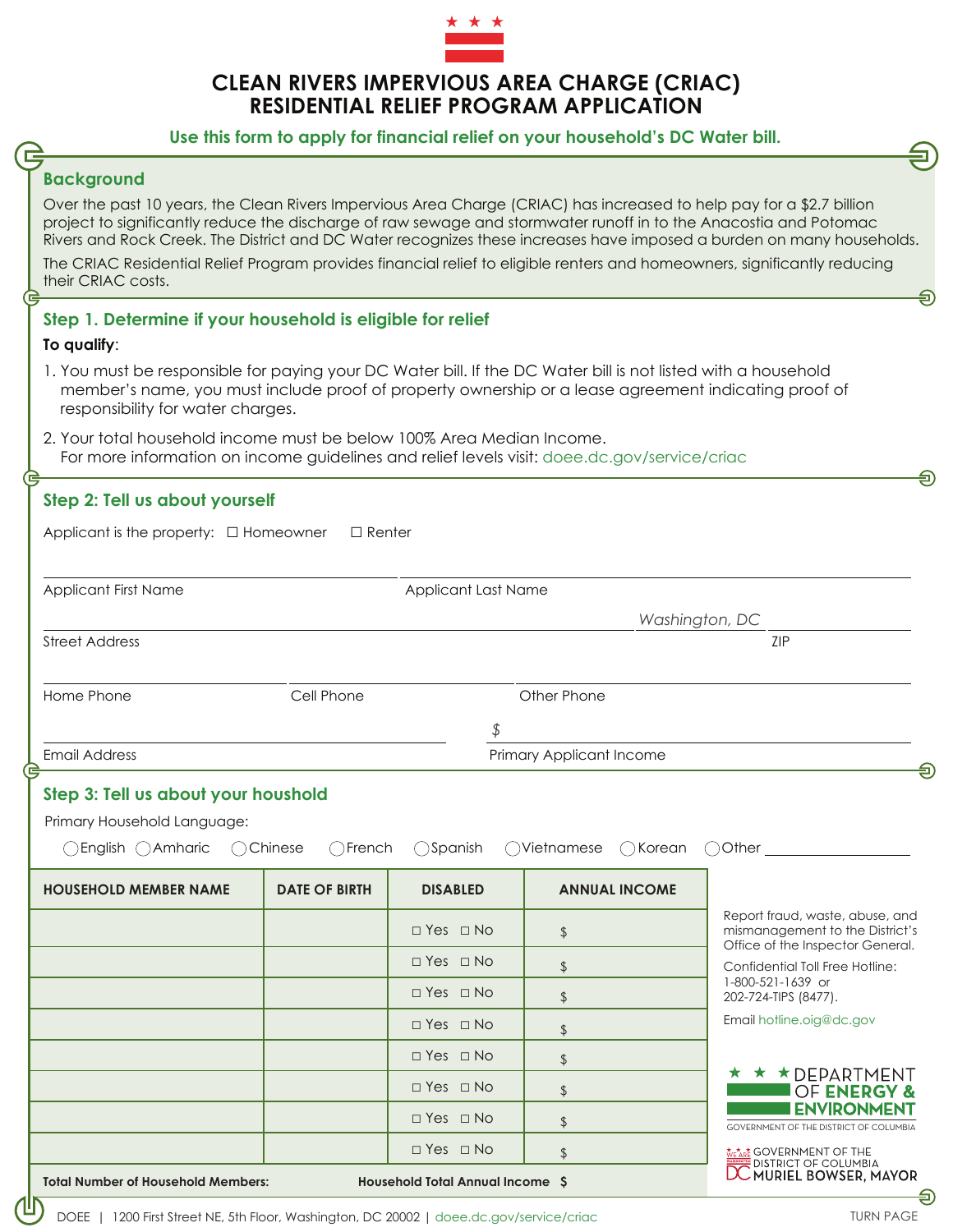

# **CLEAN RIVERS IMPERVIOUS AREA CHARGE (CRIAC) RESIDENTIAL RELIEF PROGRAM APPLICATION**

### **Use this form to apply for financial relief on your household's DC Water bill.**

### **Background**

Over the past 10 years, the Clean Rivers Impervious Area Charge (CRIAC) has increased to help pay for a \$2.7 billion project to significantly reduce the discharge of raw sewage and stormwater runoff in to the Anacostia and Potomac Rivers and Rock Creek. The District and DC Water recognizes these increases have imposed a burden on many households.

The CRIAC Residential Relief Program provides financial relief to eligible renters and homeowners, significantly reducing their CRIAC costs.

### **Step 1. Determine if your household is eligible for relief**

#### **To qualify**:

- 1. You must be responsible for paying your DC Water bill. If the DC Water bill is not listed with a household member's name, you must include proof of property ownership or a lease agreement indicating proof of responsibility for water charges.
- 2. Your total household income must be below 100% Area Median Income. For more information on income guidelines and relief levels visit: doee.dc.gov/service/criac

| Step 2: Tell us about yourself                                                                                                             |                          |                      |                      |                                                                                                        |
|--------------------------------------------------------------------------------------------------------------------------------------------|--------------------------|----------------------|----------------------|--------------------------------------------------------------------------------------------------------|
| Applicant is the property: $\Box$ Homeowner<br>$\Box$ Renter                                                                               |                          |                      |                      |                                                                                                        |
|                                                                                                                                            |                          |                      |                      |                                                                                                        |
| <b>Applicant First Name</b>                                                                                                                |                          | Applicant Last Name  |                      |                                                                                                        |
|                                                                                                                                            |                          |                      | Washington, DC       |                                                                                                        |
| <b>Street Address</b>                                                                                                                      |                          |                      |                      | ZIP                                                                                                    |
| Home Phone                                                                                                                                 | Cell Phone               |                      | Other Phone          |                                                                                                        |
|                                                                                                                                            |                          | \$                   |                      |                                                                                                        |
| <b>Email Address</b>                                                                                                                       | Primary Applicant Income |                      |                      |                                                                                                        |
| €                                                                                                                                          |                          |                      |                      |                                                                                                        |
| Step 3: Tell us about your houshold                                                                                                        |                          |                      |                      |                                                                                                        |
| Primary Household Language:                                                                                                                |                          |                      |                      |                                                                                                        |
| ○English ○Amharic<br>◯Vietnamese<br>◯ Chinese<br>$\bigcap$ French<br>◯Spanish<br>$\bigcap$ Korean<br>Other $\_\_\_\_\_\_\_\_\_\_$<br>$($ ) |                          |                      |                      |                                                                                                        |
| <b>HOUSEHOLD MEMBER NAME</b>                                                                                                               | <b>DATE OF BIRTH</b>     | <b>DISABLED</b>      | <b>ANNUAL INCOME</b> |                                                                                                        |
|                                                                                                                                            |                          | $\Box$ Yes $\Box$ No | \$                   | Report fraud, waste, abuse, and<br>mismanagement to the District's<br>Office of the Inspector General. |
|                                                                                                                                            |                          | □ Yes □ No           | $\updownarrow$       | Confidential Toll Free Hotline:<br>1-800-521-1639 or<br>202-724-TIPS (8477).                           |
|                                                                                                                                            |                          | $\Box$ Yes $\Box$ No | $\frac{1}{2}$        |                                                                                                        |
|                                                                                                                                            |                          | $\Box$ Yes $\Box$ No | $\frac{1}{2}$        | Email hotline.oig@dc.gov                                                                               |
|                                                                                                                                            |                          | $\Box$ Yes $\Box$ No | $\frac{1}{2}$        |                                                                                                        |
|                                                                                                                                            |                          | $\Box$ Yes $\Box$ No | \$                   | ★ ★ ★ DEPARTMENT<br>OF ENERGY &                                                                        |
|                                                                                                                                            |                          | $\Box$ Yes $\Box$ No | $\frac{1}{2}$        | <b>ENVIRONMENT</b><br>GOVERNMENT OF THE DISTRICT OF COLUMBIA                                           |
|                                                                                                                                            |                          | $\Box$ Yes $\Box$ No | $\frac{1}{2}$        | <b>Me<u>tar</u>e GOVERNMENT OF THE</b><br>DISTRICT OF COLUMBIA<br><b>DC MURIEL BOWSER, MAYOR</b>       |
| <b>Household Total Annual Income S</b><br><b>Total Number of Household Members:</b>                                                        |                          |                      |                      |                                                                                                        |

க

ଲ